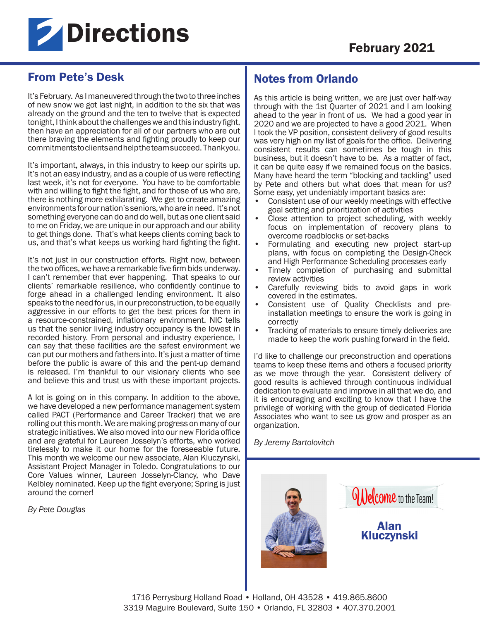

# From Pete's Desk

It's February. As I maneuvered through the two to three inches of new snow we got last night, in addition to the six that was already on the ground and the ten to twelve that is expected tonight, I think about the challenges we and this industry fight, then have an appreciation for all of our partners who are out there braving the elements and fighting proudly to keep our commitments to clients and help the team succeed. Thank you.

It's important, always, in this industry to keep our spirits up. It's not an easy industry, and as a couple of us were reflecting last week, it's not for everyone. You have to be comfortable with and willing to fight the fight, and for those of us who are, there is nothing more exhilarating. We get to create amazing environments for our nation's seniors, who are in need. It's not something everyone can do and do well, but as one client said to me on Friday, we are unique in our approach and our ability to get things done. That's what keeps clients coming back to us, and that's what keeps us working hard fighting the fight.

It's not just in our construction efforts. Right now, between the two offices, we have a remarkable five firm bids underway. I can't remember that ever happening. That speaks to our clients' remarkable resilience, who confidently continue to forge ahead in a challenged lending environment. It also speaks to the need for us, in our preconstruction, to be equally aggressive in our efforts to get the best prices for them in a resource-constrained, inflationary environment. NIC tells us that the senior living industry occupancy is the lowest in recorded history. From personal and industry experience, I can say that these facilities are the safest environment we can put our mothers and fathers into. It's just a matter of time before the public is aware of this and the pent-up demand is released. I'm thankful to our visionary clients who see and believe this and trust us with these important projects.

A lot is going on in this company. In addition to the above, we have developed a new performance management system called PACT (Performance and Career Tracker) that we are rolling out this month. We are making progress on many of our strategic initiatives. We also moved into our new Florida office and are grateful for Laureen Josselyn's efforts, who worked tirelessly to make it our home for the foreseeable future. This month we welcome our new associate, Alan Kluczynski, Assistant Project Manager in Toledo. Congratulations to our Core Values winner, Laureen Josselyn-Clancy, who Dave Kelbley nominated. Keep up the fight everyone; Spring is just around the corner!

*By Pete Douglas* 

## Notes from Orlando

As this article is being written, we are just over half-way through with the 1st Quarter of 2021 and I am looking ahead to the year in front of us. We had a good year in 2020 and we are projected to have a good 2021. When I took the VP position, consistent delivery of good results was very high on my list of goals for the office. Delivering consistent results can sometimes be tough in this business, but it doesn't have to be. As a matter of fact, it can be quite easy if we remained focus on the basics. Many have heard the term "blocking and tackling" used by Pete and others but what does that mean for us? Some easy, yet undeniably important basics are:

- Consistent use of our weekly meetings with effective goal setting and prioritization of activities
- Close attention to project scheduling, with weekly focus on implementation of recovery plans to overcome roadblocks or set-backs
- Formulating and executing new project start-up plans, with focus on completing the Design-Check and High Performance Scheduling processes early
- Timely completion of purchasing and submittal review activities
- Carefully reviewing bids to avoid gaps in work covered in the estimates.
- Consistent use of Quality Checklists and preinstallation meetings to ensure the work is going in correctly
- Tracking of materials to ensure timely deliveries are made to keep the work pushing forward in the field.

I'd like to challenge our preconstruction and operations teams to keep these items and others a focused priority as we move through the year. Consistent delivery of good results is achieved through continuous individual dedication to evaluate and improve in all that we do, and it is encouraging and exciting to know that I have the privilege of working with the group of dedicated Florida Associates who want to see us grow and prosper as an organization.

*By Jeremy Bartolovitch*